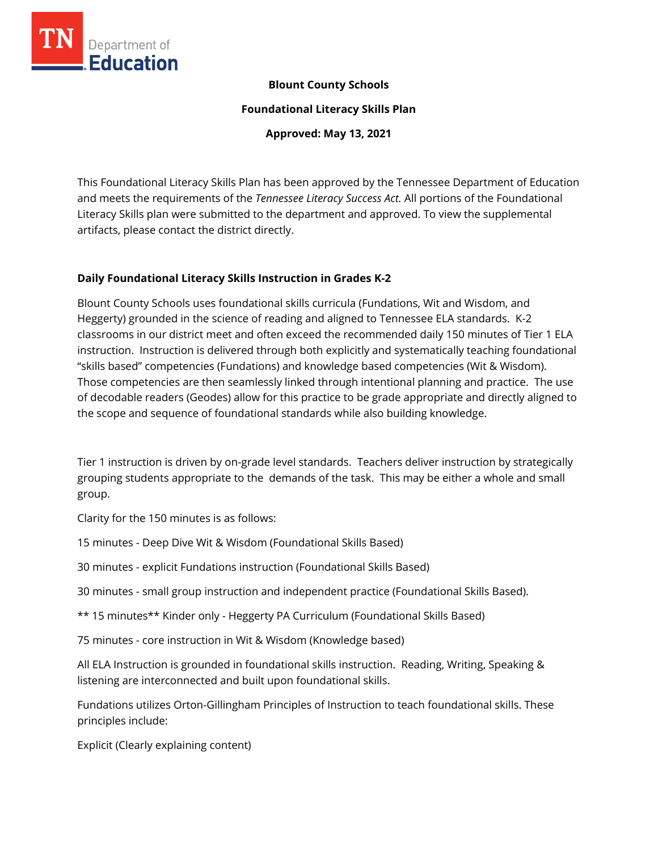

## **Blount County Schools**

**Foundational Literacy Skills Plan**

**Approved: May 13, 2021**

This Foundational Literacy Skills Plan has been approved by the Tennessee Department of Education and meets the requirements of the *Tennessee Literacy Success Act.* All portions of the Foundational Literacy Skills plan were submitted to the department and approved. To view the supplemental artifacts, please contact the district directly.

## **Daily Foundational Literacy Skills Instruction in Grades K-2**

Blount County Schools uses foundational skills curricula (Fundations, Wit and Wisdom, and Heggerty) grounded in the science of reading and aligned to Tennessee ELA standards. K-2 classrooms in our district meet and often exceed the recommended daily 150 minutes of Tier 1 ELA instruction. Instruction is delivered through both explicitly and systematically teaching foundational "skills based" competencies (Fundations) and knowledge based competencies (Wit & Wisdom). Those competencies are then seamlessly linked through intentional planning and practice. The use of decodable readers (Geodes) allow for this practice to be grade appropriate and directly aligned to the scope and sequence of foundational standards while also building knowledge.

Tier 1 instruction is driven by on-grade level standards. Teachers deliver instruction by strategically grouping students appropriate to the demands of the task. This may be either a whole and small group.

Clarity for the 150 minutes is as follows:

15 minutes - Deep Dive Wit & Wisdom (Foundational Skills Based)

30 minutes - explicit Fundations instruction (Foundational Skills Based)

30 minutes - small group instruction and independent practice (Foundational Skills Based).

\*\* 15 minutes\*\* Kinder only - Heggerty PA Curriculum (Foundational Skills Based)

75 minutes - core instruction in Wit & Wisdom (Knowledge based)

All ELA Instruction is grounded in foundational skills instruction. Reading, Writing, Speaking & listening are interconnected and built upon foundational skills.

Fundations utilizes Orton-Gillingham Principles of Instruction to teach foundational skills. These principles include:

Explicit (Clearly explaining content)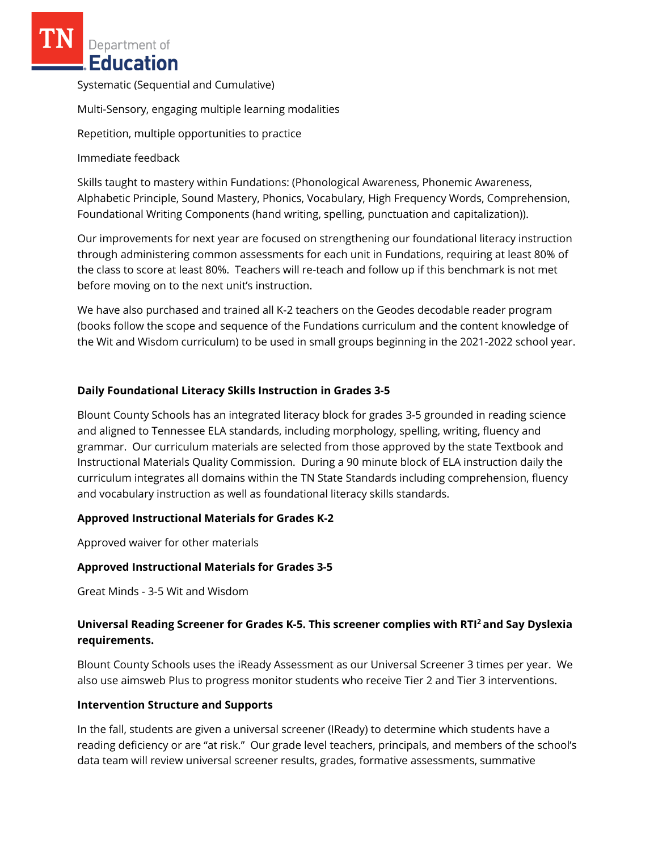Department of **Education** 

Systematic (Sequential and Cumulative)

Multi-Sensory, engaging multiple learning modalities

Repetition, multiple opportunities to practice

Immediate feedback

Skills taught to mastery within Fundations: (Phonological Awareness, Phonemic Awareness, Alphabetic Principle, Sound Mastery, Phonics, Vocabulary, High Frequency Words, Comprehension, Foundational Writing Components (hand writing, spelling, punctuation and capitalization)).

Our improvements for next year are focused on strengthening our foundational literacy instruction through administering common assessments for each unit in Fundations, requiring at least 80% of the class to score at least 80%. Teachers will re-teach and follow up if this benchmark is not met before moving on to the next unit's instruction.

We have also purchased and trained all K-2 teachers on the Geodes decodable reader program (books follow the scope and sequence of the Fundations curriculum and the content knowledge of the Wit and Wisdom curriculum) to be used in small groups beginning in the 2021-2022 school year.

## **Daily Foundational Literacy Skills Instruction in Grades 3-5**

Blount County Schools has an integrated literacy block for grades 3-5 grounded in reading science and aligned to Tennessee ELA standards, including morphology, spelling, writing, fluency and grammar. Our curriculum materials are selected from those approved by the state Textbook and Instructional Materials Quality Commission. During a 90 minute block of ELA instruction daily the curriculum integrates all domains within the TN State Standards including comprehension, fluency and vocabulary instruction as well as foundational literacy skills standards.

## **Approved Instructional Materials for Grades K-2**

Approved waiver for other materials

## **Approved Instructional Materials for Grades 3-5**

Great Minds - 3-5 Wit and Wisdom

# **Universal Reading Screener for Grades K-5. This screener complies with RTI<sup>2</sup>and Say Dyslexia requirements.**

Blount County Schools uses the iReady Assessment as our Universal Screener 3 times per year. We also use aimsweb Plus to progress monitor students who receive Tier 2 and Tier 3 interventions.

### **Intervention Structure and Supports**

In the fall, students are given a universal screener (IReady) to determine which students have a reading deficiency or are "at risk." Our grade level teachers, principals, and members of the school's data team will review universal screener results, grades, formative assessments, summative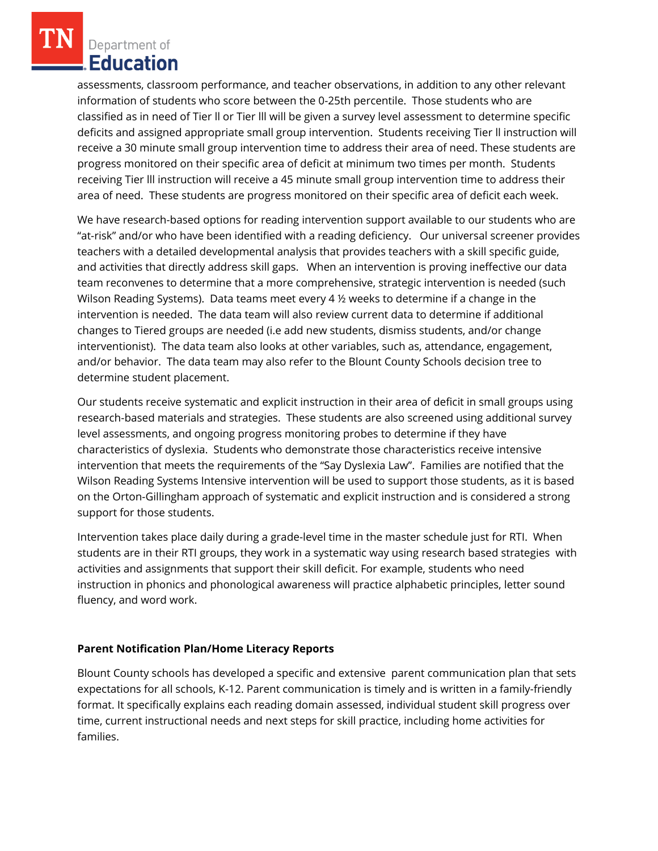Department of Education

assessments, classroom performance, and teacher observations, in addition to any other relevant information of students who score between the 0-25th percentile. Those students who are classified as in need of Tier ll or Tier lll will be given a survey level assessment to determine specific deficits and assigned appropriate small group intervention. Students receiving Tier ll instruction will receive a 30 minute small group intervention time to address their area of need. These students are progress monitored on their specific area of deficit at minimum two times per month. Students receiving Tier lll instruction will receive a 45 minute small group intervention time to address their area of need. These students are progress monitored on their specific area of deficit each week.

We have research-based options for reading intervention support available to our students who are "at-risk" and/or who have been identified with a reading deficiency. Our universal screener provides teachers with a detailed developmental analysis that provides teachers with a skill specific guide, and activities that directly address skill gaps. When an intervention is proving ineffective our data team reconvenes to determine that a more comprehensive, strategic intervention is needed (such Wilson Reading Systems). Data teams meet every 4 ½ weeks to determine if a change in the intervention is needed. The data team will also review current data to determine if additional changes to Tiered groups are needed (i.e add new students, dismiss students, and/or change interventionist). The data team also looks at other variables, such as, attendance, engagement, and/or behavior. The data team may also refer to the Blount County Schools decision tree to determine student placement.

Our students receive systematic and explicit instruction in their area of deficit in small groups using research-based materials and strategies. These students are also screened using additional survey level assessments, and ongoing progress monitoring probes to determine if they have characteristics of dyslexia. Students who demonstrate those characteristics receive intensive intervention that meets the requirements of the "Say Dyslexia Law". Families are notified that the Wilson Reading Systems Intensive intervention will be used to support those students, as it is based on the Orton-Gillingham approach of systematic and explicit instruction and is considered a strong support for those students.

Intervention takes place daily during a grade-level time in the master schedule just for RTI. When students are in their RTI groups, they work in a systematic way using research based strategies with activities and assignments that support their skill deficit. For example, students who need instruction in phonics and phonological awareness will practice alphabetic principles, letter sound fluency, and word work.

## **Parent Notification Plan/Home Literacy Reports**

Blount County schools has developed a specific and extensive parent communication plan that sets expectations for all schools, K-12. Parent communication is timely and is written in a family-friendly format. It specifically explains each reading domain assessed, individual student skill progress over time, current instructional needs and next steps for skill practice, including home activities for families.